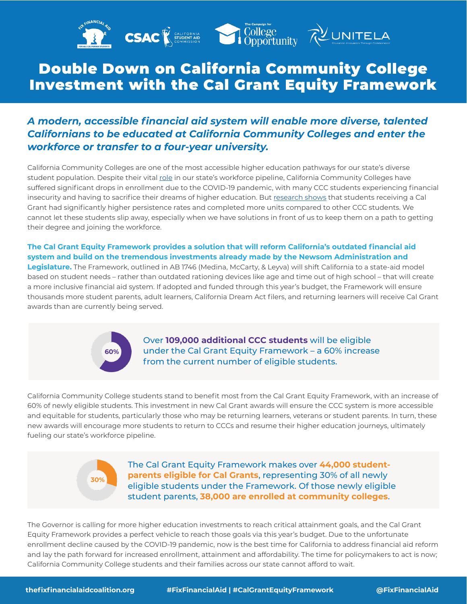

## Double Down on California Community College Investment with the Cal Grant Equity Framework

### *A modern, accessible financial aid system will enable more diverse, talented Californians to be educated at California Community Colleges and enter the workforce or transfer to a four-year university.*

California Community Colleges are one of the most accessible higher education pathways for our state's diverse student population. Despite their vital [role](https://assets.cccco.edu/share/51B197C8-519B-49FD-BCAEFE10781A2B0D/?mediaId=11A71E97-C56A-4E3D-8F62C88E51A719B9) in our state's workforce pipeline, California Community Colleges have suffered significant drops in enrollment due to the COVID-19 pandemic, with many CCC students experiencing financial insecurity and having to sacrifice their dreams of higher education. But [research shows](https://education.ucdavis.edu/wheelhouse-financial-aid-brief) that students receiving a Cal Grant had significantly higher persistence rates and completed more units compared to other CCC students. We cannot let these students slip away, especially when we have solutions in front of us to keep them on a path to getting their degree and joining the workforce.

#### **The Cal Grant Equity Framework provides a solution that will reform California's outdated financial aid system and build on the tremendous investments already made by the Newsom Administration and**

**Legislature.** The Framework, outlined in AB 1746 (Medina, McCarty, & Leyva) will shift California to a state-aid model based on student needs – rather than outdated rationing devices like age and time out of high school – that will create a more inclusive financial aid system. If adopted and funded through this year's budget, the Framework will ensure thousands more student parents, adult learners, California Dream Act filers, and returning learners will receive Cal Grant awards than are currently being served.



Over **109,000 additional CCC students** will be eligible under the Cal Grant Equity Framework – a 60% increase from the current number of eligible students.

California Community College students stand to benefit most from the Cal Grant Equity Framework, with an increase of 60% of newly eligible students. This investment in new Cal Grant awards will ensure the CCC system is more accessible and equitable for students, particularly those who may be returning learners, veterans or student parents. In turn, these new awards will encourage more students to return to CCCs and resume their higher education journeys, ultimately fueling our state's workforce pipeline.



The Cal Grant Equity Framework makes over **44,000 studentparents eligible for Cal Grants**, representing 30% of all newly eligible students under the Framework. Of those newly eligible student parents, **38,000 are enrolled at community colleges**.

The Governor is calling for more higher education investments to reach critical attainment goals, and the Cal Grant Equity Framework provides a perfect vehicle to reach those goals via this year's budget. Due to the unfortunate enrollment decline caused by the COVID-19 pandemic, now is the best time for California to address financial aid reform and lay the path forward for increased enrollment, attainment and affordability. The time for policymakers to act is now; California Community College students and their families across our state cannot afford to wait.